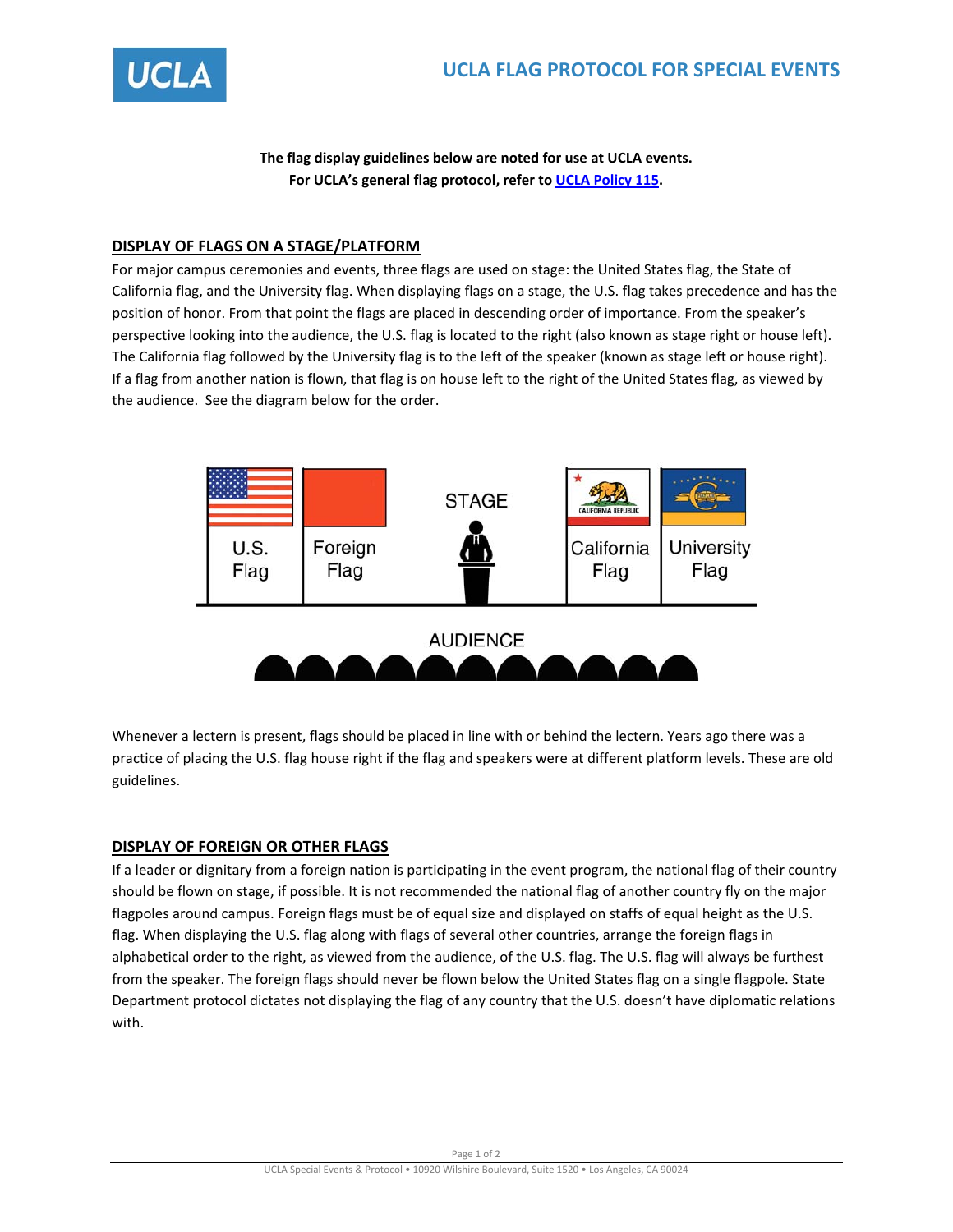

**The flag display guidelines below are noted for use at UCLA events. For UCLA's general flag protocol, refer to UCLA Policy 115.**

# **DISPLAY OF FLAGS ON A STAGE/PLATFORM**

For major campus ceremonies and events, three flags are used on stage: the United States flag, the State of California flag, and the University flag. When displaying flags on a stage, the U.S. flag takes precedence and has the position of honor. From that point the flags are placed in descending order of importance. From the speaker's perspective looking into the audience, the U.S. flag is located to the right (also known as stage right or house left). The California flag followed by the University flag is to the left of the speaker (known as stage left or house right). If a flag from another nation is flown, that flag is on house left to the right of the United States flag, as viewed by the audience. See the diagram below for the order.



Whenever a lectern is present, flags should be placed in line with or behind the lectern. Years ago there was a practice of placing the U.S. flag house right if the flag and speakers were at different platform levels. These are old guidelines.

# **DISPLAY OF FOREIGN OR OTHER FLAGS**

If a leader or dignitary from a foreign nation is participating in the event program, the national flag of their country should be flown on stage, if possible. It is not recommended the national flag of another country fly on the major flagpoles around campus. Foreign flags must be of equal size and displayed on staffs of equal height as the U.S. flag. When displaying the U.S. flag along with flags of several other countries, arrange the foreign flags in alphabetical order to the right, as viewed from the audience, of the U.S. flag. The U.S. flag will always be furthest from the speaker. The foreign flags should never be flown below the United States flag on a single flagpole. State Department protocol dictates not displaying the flag of any country that the U.S. doesn't have diplomatic relations with.